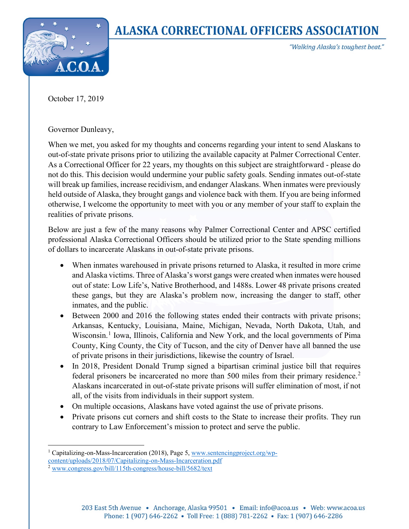

## **ALASKA CORRECTIONAL OFFICERS ASSOCIATION**

"Walking Alaska's toughest beat."

October 17, 2019

Governor Dunleavy,

When we met, you asked for my thoughts and concerns regarding your intent to send Alaskans to out-of-state private prisons prior to utilizing the available capacity at Palmer Correctional Center. As a Correctional Officer for 22 years, my thoughts on this subject are straightforward - please do not do this. This decision would undermine your public safety goals. Sending inmates out-of-state will break up families, increase recidivism, and endanger Alaskans. When inmates were previously held outside of Alaska, they brought gangs and violence back with them. If you are being informed otherwise, I welcome the opportunity to meet with you or any member of your staff to explain the realities of private prisons.

Below are just a few of the many reasons why Palmer Correctional Center and APSC certified professional Alaska Correctional Officers should be utilized prior to the State spending millions of dollars to incarcerate Alaskans in out-of-state private prisons.

- When inmates warehoused in private prisons returned to Alaska, it resulted in more crime and Alaska victims. Three of Alaska's worst gangs were created when inmates were housed out of state: Low Life's, Native Brotherhood, and 1488s. Lower 48 private prisons created these gangs, but they are Alaska's problem now, increasing the danger to staff, other inmates, and the public.
- Between 2000 and 2016 the following states ended their contracts with private prisons; Arkansas, Kentucky, Louisiana, Maine, Michigan, Nevada, North Dakota, Utah, and Wisconsin.<sup>[1](#page-0-0)</sup> Iowa, Illinois, California and New York, and the local governments of Pima County, King County, the City of Tucson, and the city of Denver have all banned the use of private prisons in their jurisdictions, likewise the country of Israel.
- In 2018, President Donald Trump signed a bipartisan criminal justice bill that requires federal prisoners be incarcerated no more than 500 miles from their primary residence.<sup>[2](#page-0-1)</sup> Alaskans incarcerated in out-of-state private prisons will suffer elimination of most, if not all, of the visits from individuals in their support system.
- On multiple occasions, Alaskans have voted against the use of private prisons.
- Private prisons cut corners and shift costs to the State to increase their profits. They run contrary to Law Enforcement's mission to protect and serve the public.

<span id="page-0-1"></span><span id="page-0-0"></span><sup>&</sup>lt;sup>1</sup> Capitalizing-on-Mass-Incarceration (2018), Page 5[, www.sentencingproject.org/wp](http://www.sentencingproject.org/wp-content/uploads/2018/07/Capitalizing-on-Mass-Incarceration.pdf)[content/uploads/2018/07/Capitalizing-on-Mass-Incarceration.pdf](http://www.sentencingproject.org/wp-content/uploads/2018/07/Capitalizing-on-Mass-Incarceration.pdf) <sup>2</sup> [www.congress.gov/bill/115th-congress/house-bill/5682/text](http://www.congress.gov/bill/115th-congress/house-bill/5682/text)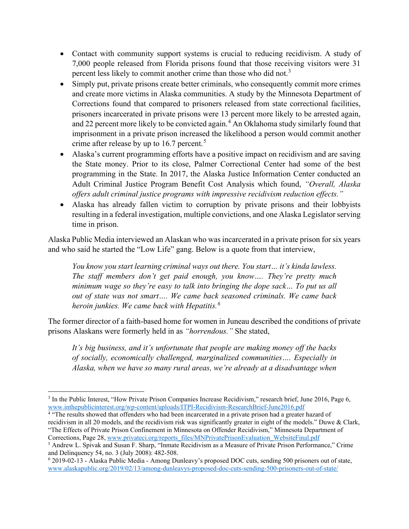- Contact with community support systems is crucial to reducing recidivism. A study of 7,000 people released from Florida prisons found that those receiving visitors were 31 percent less likely to commit another crime than those who did not.<sup>[3](#page-1-0)</sup>
- Simply put, private prisons create better criminals, who consequently commit more crimes and create more victims in Alaska communities. A study by the Minnesota Department of Corrections found that compared to prisoners released from state correctional facilities, prisoners incarcerated in private prisons were 13 percent more likely to be arrested again, and 22 percent more likely to be convicted again.<sup>[4](#page-1-1)</sup> An Oklahoma study similarly found that imprisonment in a private prison increased the likelihood a person would commit another crime after release by up to 16.7 percent.<sup>[5](#page-1-2)</sup>
- Alaska's current programming efforts have a positive impact on recidivism and are saving the State money. Prior to its close, Palmer Correctional Center had some of the best programming in the State. In 2017, the Alaska Justice Information Center conducted an Adult Criminal Justice Program Benefit Cost Analysis which found, *"Overall, Alaska offers adult criminal justice programs with impressive recidivism reduction effects."*
- Alaska has already fallen victim to corruption by private prisons and their lobbyists resulting in a federal investigation, multiple convictions, and one Alaska Legislator serving time in prison.

Alaska Public Media interviewed an Alaskan who was incarcerated in a private prison for six years and who said he started the "Low Life" gang. Below is a quote from that interview,

*You know you start learning criminal ways out there. You start… it's kinda lawless. The staff members don't get paid enough, you know…. They're pretty much minimum wage so they're easy to talk into bringing the dope sack… To put us all out of state was not smart…. We came back seasoned criminals. We came back heroin junkies. We came back with Hepatitis.[6](#page-1-3)*

The former director of a faith-based home for women in Juneau described the conditions of private prisons Alaskans were formerly held in as *"horrendous."* She stated,

*It's big business, and it's unfortunate that people are making money off the backs of socially, economically challenged, marginalized communities…. Especially in Alaska, when we have so many rural areas, we're already at a disadvantage when* 

<span id="page-1-0"></span><sup>3</sup> In the Public Interest, "How Private Prison Companies Increase Recidivism," research brief, June 2016, Page 6, [www.inthepublicinterest.org/wp-content/uploads/ITPI-Recidivism-ResearchBrief-June2016.pdf](http://www.inthepublicinterest.org/wp-content/uploads/ITPI-Recidivism-ResearchBrief-June2016.pdf)

<span id="page-1-1"></span><sup>4</sup> "The results showed that offenders who had been incarcerated in a private prison had a greater hazard of recidivism in all 20 models, and the recidivism risk was significantly greater in eight of the models." Duwe & Clark, "The Effects of Private Prison Confinement in Minnesota on Offender Recidivism," Minnesota Department of Corrections, Page 28[, www.privateci.org/reports\\_files/MNPrivatePrisonEvaluation\\_WebsiteFinal.pdf](http://www.privateci.org/reports_files/MNPrivatePrisonEvaluation_WebsiteFinal.pdf)

<span id="page-1-2"></span><sup>5</sup> Andrew L. Spivak and Susan F. Sharp, "Inmate Recidivism as a Measure of Private Prison Performance," Crime and Delinquency 54, no. 3 (July 2008): 482-508.

<span id="page-1-3"></span><sup>6</sup> 2019-02-13 - Alaska Public Media - Among Dunleavy's proposed DOC cuts, sending 500 prisoners out of state, [www.alaskapublic.org/2019/02/13/among-dunleavys-proposed-doc-cuts-sending-500-prisoners-out-of-state/](http://www.alaskapublic.org/2019/02/13/among-dunleavys-proposed-doc-cuts-sending-500-prisoners-out-of-state/)